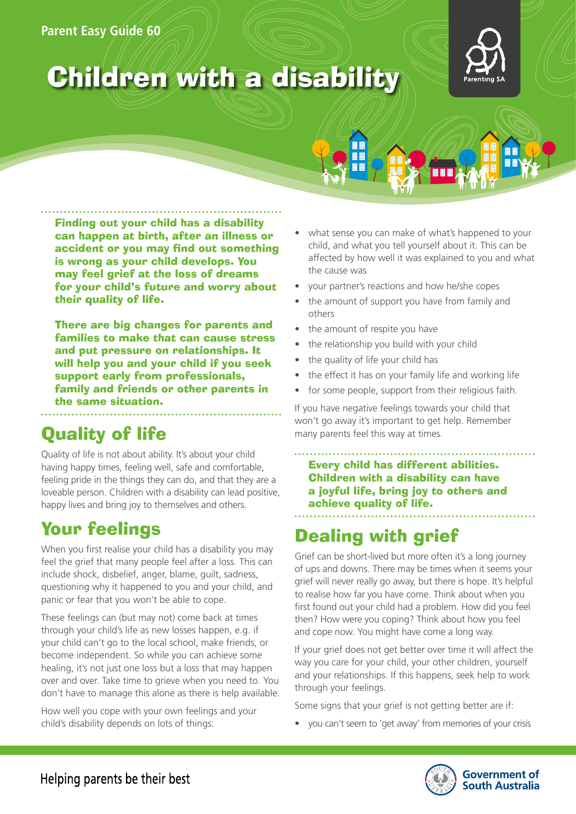### **Parent Easy Guide 60**



# **Children with a disability**

Finding out your child has a disability can happen at birth, after an illness or accident or you may find out something is wrong as your child develops. You may feel grief at the loss of dreams for your child's future and worry about their quality of life.

There are big changes for parents and families to make that can cause stress and put pressure on relationships. It will help you and your child if you seek support early from professionals, family and friends or other parents in the same situation.

# Quality of life

Quality of life is not about ability. It's about your child having happy times, feeling well, safe and comfortable, feeling pride in the things they can do, and that they are a loveable person. Children with a disability can lead positive, happy lives and bring joy to themselves and others.

# Your feelings

When you first realise your child has a disability you may feel the grief that many people feel after a loss. This can include shock, disbelief, anger, blame, guilt, sadness, questioning why it happened to you and your child, and panic or fear that you won't be able to cope.

These feelings can (but may not) come back at times through your child's life as new losses happen, e.g. if your child can't go to the local school, make friends, or become independent. So while you can achieve some healing, it's not just one loss but a loss that may happen over and over. Take time to grieve when you need to. You don't have to manage this alone as there is help available.

How well you cope with your own feelings and your child's disability depends on lots of things:

- what sense you can make of what's happened to your child, and what you tell yourself about it. This can be affected by how well it was explained to you and what the cause was
- your partner's reactions and how he/she copes
- the amount of support you have from family and others
- the amount of respite you have
- the relationship you build with your child
- the quality of life your child has
- the effect it has on your family life and working life
- for some people, support from their religious faith.

If you have negative feelings towards your child that won't go away it's important to get help. Remember many parents feel this way at times.

. . . . . . . . . . . . . Every child has different abilities. Children with a disability can have a joyful life, bring joy to others and achieve quality of life.

# Dealing with grief

Grief can be short-lived but more often it's a long journey of ups and downs. There may be times when it seems your grief will never really go away, but there is hope. It's helpful to realise how far you have come. Think about when you first found out your child had a problem. How did you feel then? How were you coping? Think about how you feel and cope now. You might have come a long way.

If your grief does not get better over time it will affect the way you care for your child, your other children, yourself and your relationships. If this happens, seek help to work through your feelings.

Some signs that your grief is not getting better are if:

• you can't seem to 'get away' from memories of your crisis

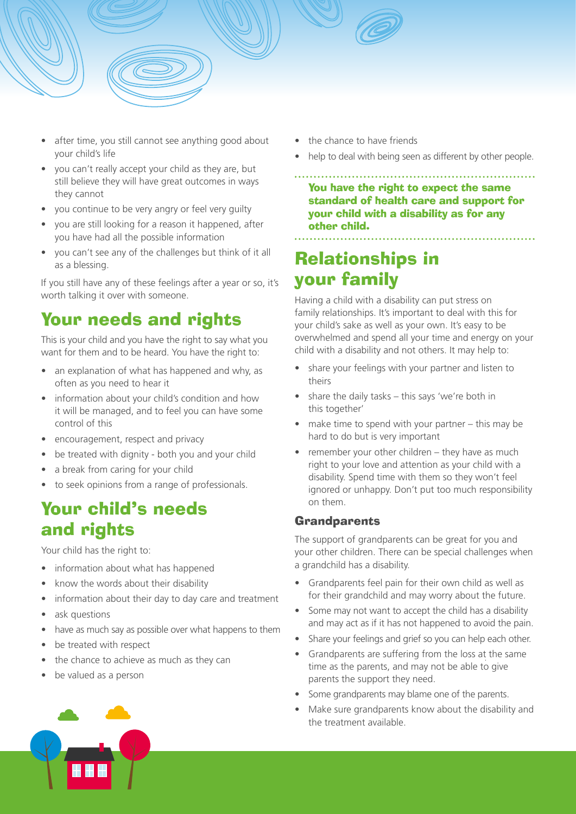

- you can't really accept your child as they are, but still believe they will have great outcomes in ways they cannot
- you continue to be very angry or feel very guilty
- you are still looking for a reason it happened, after you have had all the possible information
- you can't see any of the challenges but think of it all as a blessing.

If you still have any of these feelings after a year or so, it's worth talking it over with someone.

### Your needs and rights

This is your child and you have the right to say what you want for them and to be heard. You have the right to:

- an explanation of what has happened and why, as often as you need to hear it
- information about your child's condition and how it will be managed, and to feel you can have some control of this
- encouragement, respect and privacy
- be treated with dignity both you and your child
- a break from caring for your child
- to seek opinions from a range of professionals.

### Your child's needs and rights

Your child has the right to:

- information about what has happened
- know the words about their disability
- information about their day to day care and treatment
- ask questions
- have as much say as possible over what happens to them
- be treated with respect
- the chance to achieve as much as they can
- be valued as a person
- the chance to have friends
- help to deal with being seen as different by other people.

You have the right to expect the same standard of health care and support for your child with a disability as for any other child.

### Relationships in your family

Having a child with a disability can put stress on family relationships. It's important to deal with this for your child's sake as well as your own. It's easy to be overwhelmed and spend all your time and energy on your child with a disability and not others. It may help to:

- share your feelings with your partner and listen to theirs
- share the daily tasks this says 'we're both in this together'
- make time to spend with your partner  $-$  this may be hard to do but is very important
- remember your other children they have as much right to your love and attention as your child with a disability. Spend time with them so they won't feel ignored or unhappy. Don't put too much responsibility on them.

### **Grandparents**

The support of grandparents can be great for you and your other children. There can be special challenges when a grandchild has a disability.

- Grandparents feel pain for their own child as well as for their grandchild and may worry about the future.
- Some may not want to accept the child has a disability and may act as if it has not happened to avoid the pain.
- Share your feelings and grief so you can help each other.
- Grandparents are suffering from the loss at the same time as the parents, and may not be able to give parents the support they need.
- Some grandparents may blame one of the parents.
- Make sure grandparents know about the disability and the treatment available.

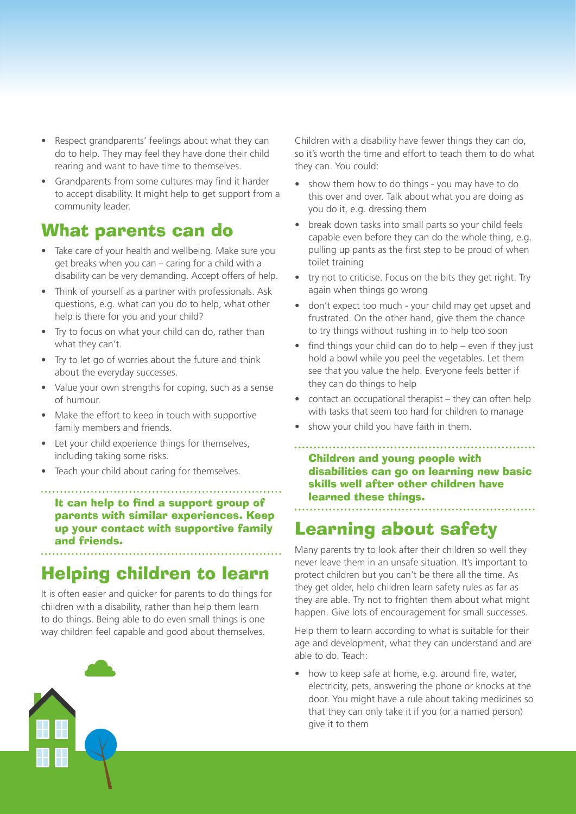- Respect grandparents' feelings about what they can do to help. They may feel they have done their child rearing and want to have time to themselves.
- Grandparents from some cultures may find it harder to accept disability. It might help to get support from a community leader.

### What parents can do

- Take care of your health and wellbeing. Make sure you get breaks when you can – caring for a child with a disability can be very demanding. Accept offers of help.
- Think of yourself as a partner with professionals. Ask questions, e.g. what can you do to help, what other help is there for you and your child?
- Try to focus on what your child can do, rather than what they can't.
- Try to let go of worries about the future and think about the everyday successes.
- Value your own strengths for coping, such as a sense of humour.
- Make the effort to keep in touch with supportive family members and friends.
- Let your child experience things for themselves, including taking some risks.
- Teach your child about caring for themselves.

It can help to find a support group of parents with similar experiences. Keep up your contact with supportive family and friends.

### Helping children to learn

It is often easier and quicker for parents to do things for children with a disability, rather than help them learn to do things. Being able to do even small things is one way children feel capable and good about themselves.



Children with a disability have fewer things they can do, so it's worth the time and effort to teach them to do what they can. You could:

- show them how to do things you may have to do this over and over. Talk about what you are doing as you do it, e.g. dressing them
- break down tasks into small parts so your child feels capable even before they can do the whole thing, e.g. pulling up pants as the first step to be proud of when toilet training
- try not to criticise. Focus on the bits they get right. Try again when things go wrong
- don't expect too much your child may get upset and frustrated. On the other hand, give them the chance to try things without rushing in to help too soon
- find things your child can do to help even if they just hold a bowl while you peel the vegetables. Let them see that you value the help. Everyone feels better if they can do things to help
- contact an occupational therapist they can often help with tasks that seem too hard for children to manage
- show your child you have faith in them.

Children and young people with disabilities can go on learning new basic skills well after other children have learned these things.

### Learning about safety

Many parents try to look after their children so well they never leave them in an unsafe situation. It's important to protect children but you can't be there all the time. As they get older, help children learn safety rules as far as they are able. Try not to frighten them about what might happen. Give lots of encouragement for small successes.

Help them to learn according to what is suitable for their age and development, what they can understand and are able to do. Teach:

• how to keep safe at home, e.g. around fire, water, electricity, pets, answering the phone or knocks at the door. You might have a rule about taking medicines so that they can only take it if you (or a named person) give it to them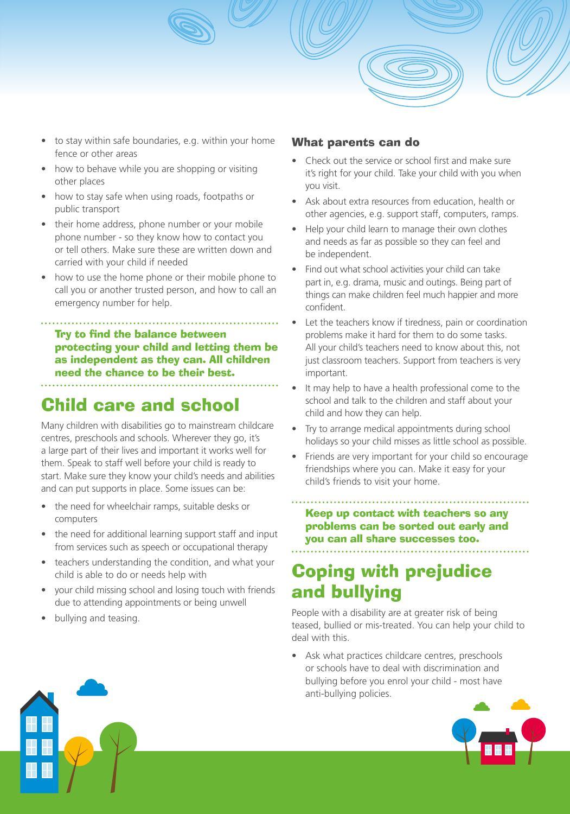- to stay within safe boundaries, e.g. within your home fence or other areas
- how to behave while you are shopping or visiting other places
- how to stay safe when using roads, footpaths or public transport
- their home address, phone number or your mobile phone number - so they know how to contact you or tell others. Make sure these are written down and carried with your child if needed
- how to use the home phone or their mobile phone to call you or another trusted person, and how to call an emergency number for help.

Try to find the balance between

protecting your child and letting them be as independent as they can. All children need the chance to be their best.

# Child care and school

Many children with disabilities go to mainstream childcare centres, preschools and schools. Wherever they go, it's a large part of their lives and important it works well for them. Speak to staff well before your child is ready to start. Make sure they know your child's needs and abilities and can put supports in place. Some issues can be:

- the need for wheelchair ramps, suitable desks or computers
- the need for additional learning support staff and input from services such as speech or occupational therapy
- teachers understanding the condition, and what your child is able to do or needs help with
- your child missing school and losing touch with friends due to attending appointments or being unwell
- bullying and teasing.

### What parents can do

- Check out the service or school first and make sure it's right for your child. Take your child with you when you visit.
- Ask about extra resources from education, health or other agencies, e.g. support staff, computers, ramps.
- Help your child learn to manage their own clothes and needs as far as possible so they can feel and be independent.
- Find out what school activities your child can take part in, e.g. drama, music and outings. Being part of things can make children feel much happier and more confident.
- Let the teachers know if tiredness, pain or coordination problems make it hard for them to do some tasks. All your child's teachers need to know about this, not just classroom teachers. Support from teachers is very important.
- It may help to have a health professional come to the school and talk to the children and staff about your child and how they can help.
- Try to arrange medical appointments during school holidays so your child misses as little school as possible.
- Friends are very important for your child so encourage friendships where you can. Make it easy for your child's friends to visit your home.

Keep up contact with teachers so any problems can be sorted out early and you can all share successes too.

### Coping with prejudice and bullying

People with a disability are at greater risk of being teased, bullied or mis-treated. You can help your child to deal with this.

• Ask what practices childcare centres, preschools or schools have to deal with discrimination and bullying before you enrol your child - most have anti-bullying policies.



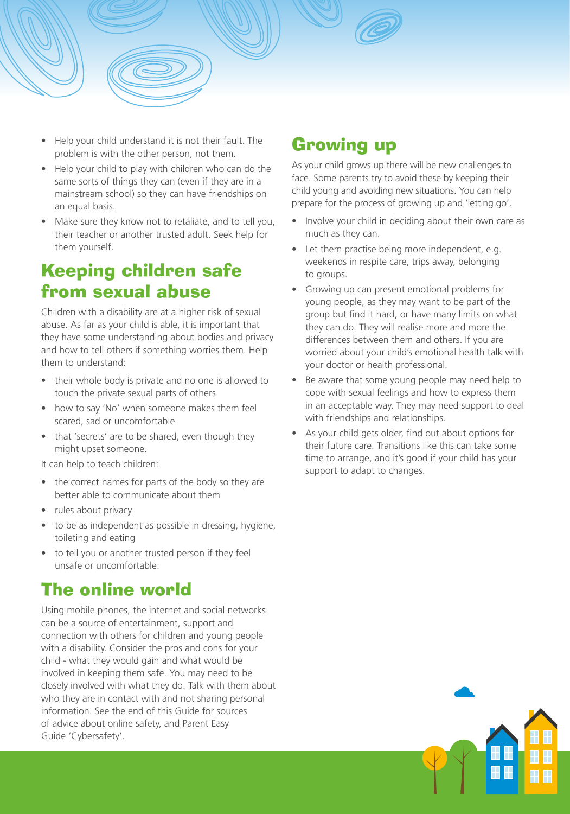

- Help your child understand it is not their fault. The problem is with the other person, not them.
- Help your child to play with children who can do the same sorts of things they can (even if they are in a mainstream school) so they can have friendships on an equal basis.
- Make sure they know not to retaliate, and to tell you, their teacher or another trusted adult. Seek help for them yourself.

### Keeping children safe from sexual abuse

Children with a disability are at a higher risk of sexual abuse. As far as your child is able, it is important that they have some understanding about bodies and privacy and how to tell others if something worries them. Help them to understand:

- their whole body is private and no one is allowed to touch the private sexual parts of others
- how to say 'No' when someone makes them feel scared, sad or uncomfortable
- that 'secrets' are to be shared, even though they might upset someone.

It can help to teach children:

- the correct names for parts of the body so they are better able to communicate about them
- rules about privacy
- to be as independent as possible in dressing, hygiene, toileting and eating
- to tell you or another trusted person if they feel unsafe or uncomfortable.

### The online world

Using mobile phones, the internet and social networks can be a source of entertainment, support and connection with others for children and young people with a disability. Consider the pros and cons for your child - what they would gain and what would be involved in keeping them safe. You may need to be closely involved with what they do. Talk with them about who they are in contact with and not sharing personal information. See the end of this Guide for sources of advice about online safety, and Parent Easy Guide 'Cybersafety'.

### Growing up

As your child grows up there will be new challenges to face. Some parents try to avoid these by keeping their child young and avoiding new situations. You can help prepare for the process of growing up and 'letting go'.

- Involve your child in deciding about their own care as much as they can.
- Let them practise being more independent, e.g. weekends in respite care, trips away, belonging to groups.
- Growing up can present emotional problems for young people, as they may want to be part of the group but find it hard, or have many limits on what they can do. They will realise more and more the differences between them and others. If you are worried about your child's emotional health talk with your doctor or health professional.
- Be aware that some young people may need help to cope with sexual feelings and how to express them in an acceptable way. They may need support to deal with friendships and relationships.
- As your child gets older, find out about options for their future care. Transitions like this can take some time to arrange, and it's good if your child has your support to adapt to changes.